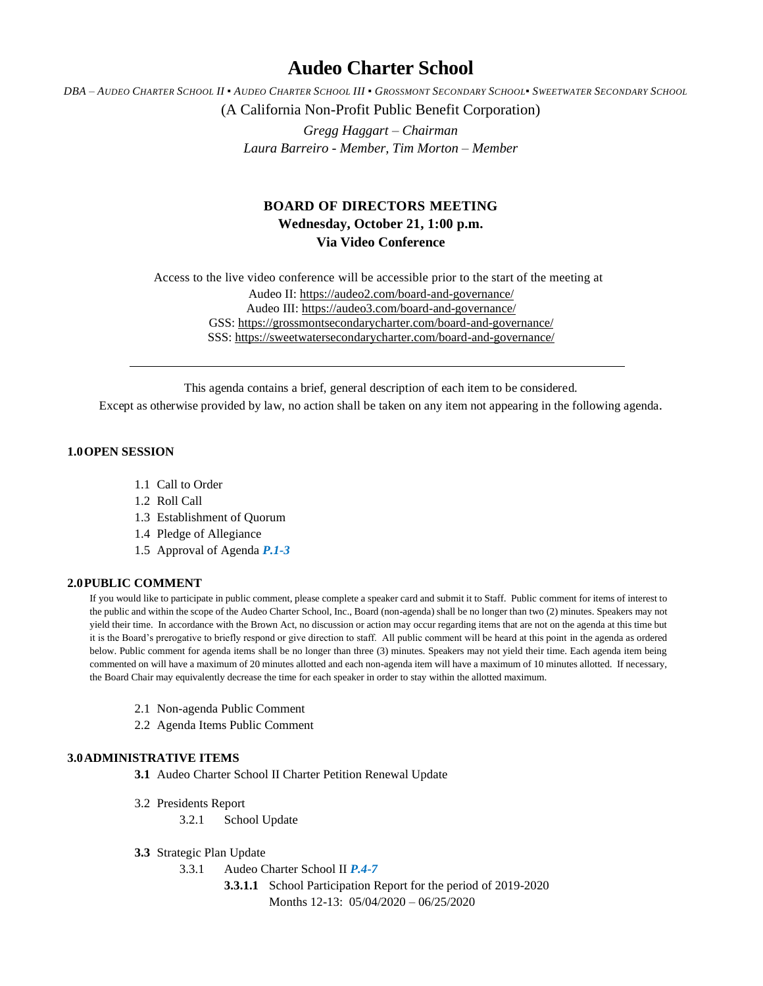# **Audeo Charter School**

DBA - AUDEO CHARTER SCHOOL II . AUDEO CHARTER SCHOOL III . GROSSMONT SECONDARY SCHOOL. SWEETWATER SECONDARY SCHOOL

(A California Non-Profit Public Benefit Corporation)

*Gregg Haggart – Chairman Laura Barreiro - Member, Tim Morton – Member*

## **BOARD OF DIRECTORS MEETING Wednesday, October 21, 1:00 p.m. Via Video Conference**

Access to the live video conference will be accessible prior to the start of the meeting at Audeo II[: https://audeo2.com/board-and-governance/](https://audeo2.com/board-and-governance/) Audeo III:<https://audeo3.com/board-and-governance/> GSS:<https://grossmontsecondarycharter.com/board-and-governance/> SSS:<https://sweetwatersecondarycharter.com/board-and-governance/>

This agenda contains a brief, general description of each item to be considered.

Except as otherwise provided by law, no action shall be taken on any item not appearing in the following agenda.

## **1.0OPEN SESSION**

- 1.1 Call to Order
- 1.2 Roll Call
- 1.3 Establishment of Quorum
- 1.4 Pledge of Allegiance
- 1.5 Approval of Agenda *P.1-3*

## **2.0PUBLIC COMMENT**

If you would like to participate in public comment, please complete a speaker card and submit it to Staff. Public comment for items of interest to the public and within the scope of the Audeo Charter School, Inc., Board (non-agenda) shall be no longer than two (2) minutes. Speakers may not yield their time. In accordance with the Brown Act, no discussion or action may occur regarding items that are not on the agenda at this time but it is the Board's prerogative to briefly respond or give direction to staff. All public comment will be heard at this point in the agenda as ordered below. Public comment for agenda items shall be no longer than three (3) minutes. Speakers may not yield their time. Each agenda item being commented on will have a maximum of 20 minutes allotted and each non-agenda item will have a maximum of 10 minutes allotted. If necessary, the Board Chair may equivalently decrease the time for each speaker in order to stay within the allotted maximum.

- 2.1 Non-agenda Public Comment
- 2.2 Agenda Items Public Comment

#### **3.0ADMINISTRATIVE ITEMS**

**3.1** Audeo Charter School II Charter Petition Renewal Update

- 3.2 Presidents Report
	- 3.2.1 School Update
- **3.3** Strategic Plan Update
	- 3.3.1 Audeo Charter School II *P.4-7*
		- **3.3.1.1** School Participation Report for the period of 2019-2020 Months 12-13: 05/04/2020 – 06/25/2020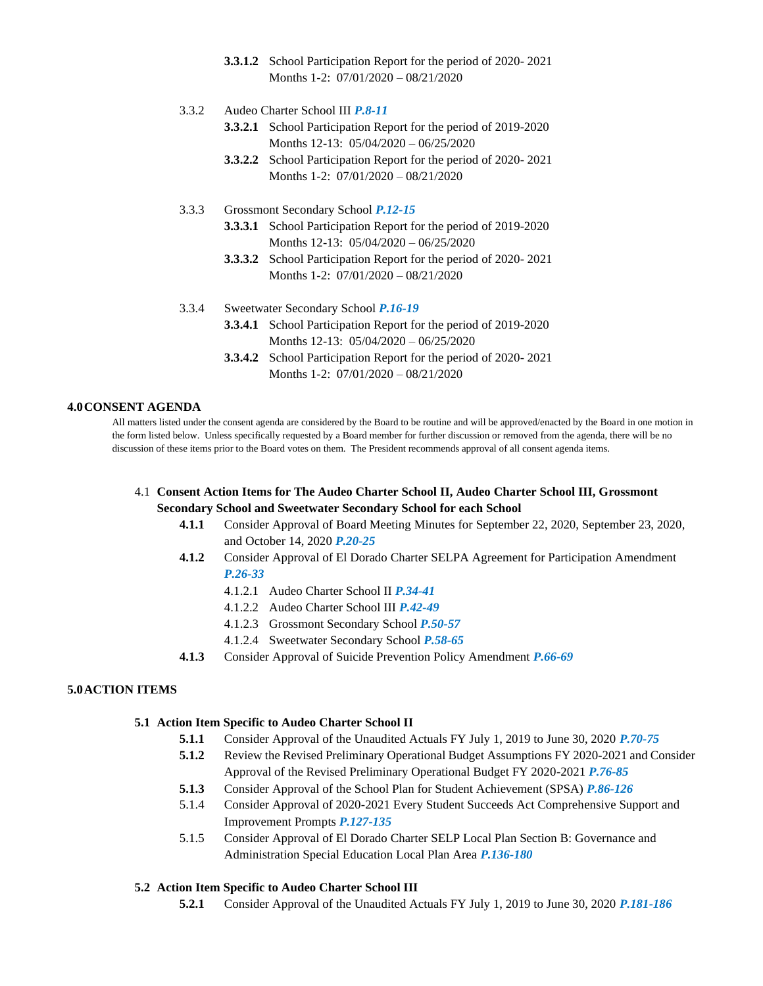- **3.3.1.2** School Participation Report for the period of 2020- 2021 Months 1-2: 07/01/2020 – 08/21/2020
- 3.3.2 Audeo Charter School III *P.8-11*
	- **3.3.2.1** School Participation Report for the period of 2019-2020 Months 12-13: 05/04/2020 – 06/25/2020
	- **3.3.2.2** School Participation Report for the period of 2020- 2021 Months 1-2: 07/01/2020 – 08/21/2020
- 3.3.3 Grossmont Secondary School *P.12-15*
	- **3.3.3.1** School Participation Report for the period of 2019-2020 Months 12-13: 05/04/2020 – 06/25/2020
	- **3.3.3.2** School Participation Report for the period of 2020- 2021 Months 1-2: 07/01/2020 – 08/21/2020
- 3.3.4 Sweetwater Secondary School *P.16-19* **3.3.4.1** School Participation Report for the period of 2019-2020 Months 12-13: 05/04/2020 – 06/25/2020
	- **3.3.4.2** School Participation Report for the period of 2020- 2021 Months 1-2: 07/01/2020 – 08/21/2020

## **4.0CONSENT AGENDA**

All matters listed under the consent agenda are considered by the Board to be routine and will be approved/enacted by the Board in one motion in the form listed below. Unless specifically requested by a Board member for further discussion or removed from the agenda, there will be no discussion of these items prior to the Board votes on them. The President recommends approval of all consent agenda items.

- 4.1 **Consent Action Items for The Audeo Charter School II, Audeo Charter School III, Grossmont Secondary School and Sweetwater Secondary School for each School**
	- **4.1.1** Consider Approval of Board Meeting Minutes for September 22, 2020, September 23, 2020, and October 14, 2020 *P.20-25*
	- **4.1.2** Consider Approval of El Dorado Charter SELPA Agreement for Participation Amendment *P.26-33*
		- 4.1.2.1 Audeo Charter School II *P.34-41*
		- 4.1.2.2 Audeo Charter School III *P.42-49*
		- 4.1.2.3 Grossmont Secondary School *P.50-57*
		- 4.1.2.4 Sweetwater Secondary School *P.58-65*
	- **4.1.3** Consider Approval of Suicide Prevention Policy Amendment *P.66-69*

#### **5.0ACTION ITEMS**

#### **5.1 Action Item Specific to Audeo Charter School II**

- **5.1.1** Consider Approval of the Unaudited Actuals FY July 1, 2019 to June 30, 2020 *P.70-75*
- **5.1.2** Review the Revised Preliminary Operational Budget Assumptions FY 2020-2021 and Consider Approval of the Revised Preliminary Operational Budget FY 2020-2021 *P.76-85*
- **5.1.3** Consider Approval of the School Plan for Student Achievement (SPSA) *P.86-126*
- 5.1.4 Consider Approval of 2020-2021 Every Student Succeeds Act Comprehensive Support and Improvement Prompts *P.127-135*
- 5.1.5 Consider Approval of El Dorado Charter SELP Local Plan Section B: Governance and Administration Special Education Local Plan Area *P.136-180*
- **5.2 Action Item Specific to Audeo Charter School III**
	- **5.2.1** Consider Approval of the Unaudited Actuals FY July 1, 2019 to June 30, 2020 *P.181-186*